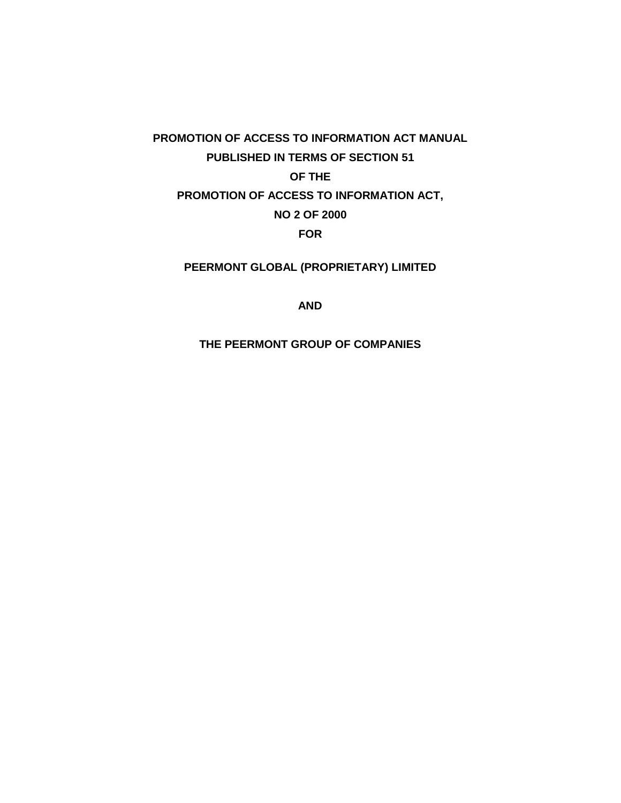# **PROMOTION OF ACCESS TO INFORMATION ACT MANUAL PUBLISHED IN TERMS OF SECTION 51 OF THE PROMOTION OF ACCESS TO INFORMATION ACT, NO 2 OF 2000 FOR**

## **PEERMONT GLOBAL (PROPRIETARY) LIMITED**

#### **AND**

#### **THE PEERMONT GROUP OF COMPANIES**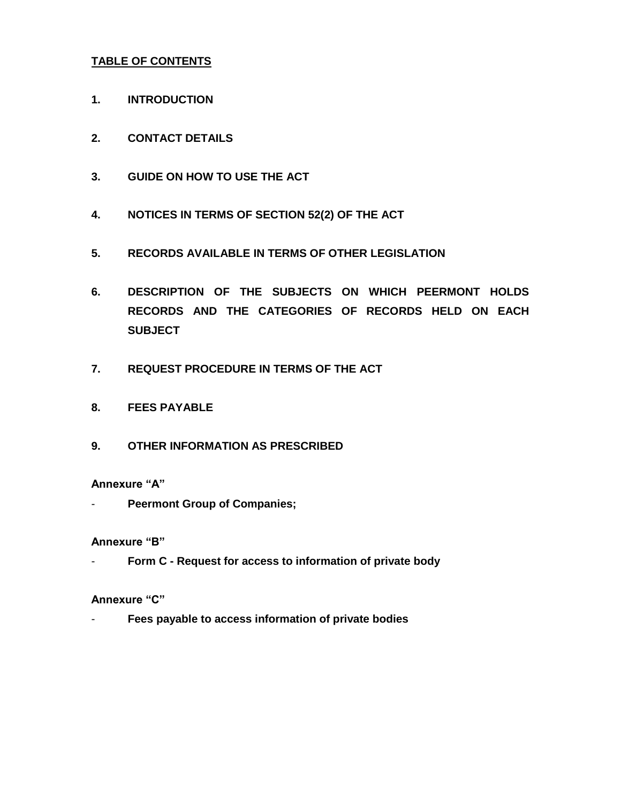### **TABLE OF CONTENTS**

- **1. INTRODUCTION**
- **2. CONTACT DETAILS**
- **3. GUIDE ON HOW TO USE THE ACT**
- **4. NOTICES IN TERMS OF SECTION 52(2) OF THE ACT**
- **5. RECORDS AVAILABLE IN TERMS OF OTHER LEGISLATION**
- **6. DESCRIPTION OF THE SUBJECTS ON WHICH PEERMONT HOLDS RECORDS AND THE CATEGORIES OF RECORDS HELD ON EACH SUBJECT**
- **7. REQUEST PROCEDURE IN TERMS OF THE ACT**
- **8. FEES PAYABLE**
- **9. OTHER INFORMATION AS PRESCRIBED**

#### **Annexure "A"**

**Peermont Group of Companies;** 

#### **Annexure "B"**

- **Form C - Request for access to information of private body**

#### **Annexure "C"**

- **Fees payable to access information of private bodies**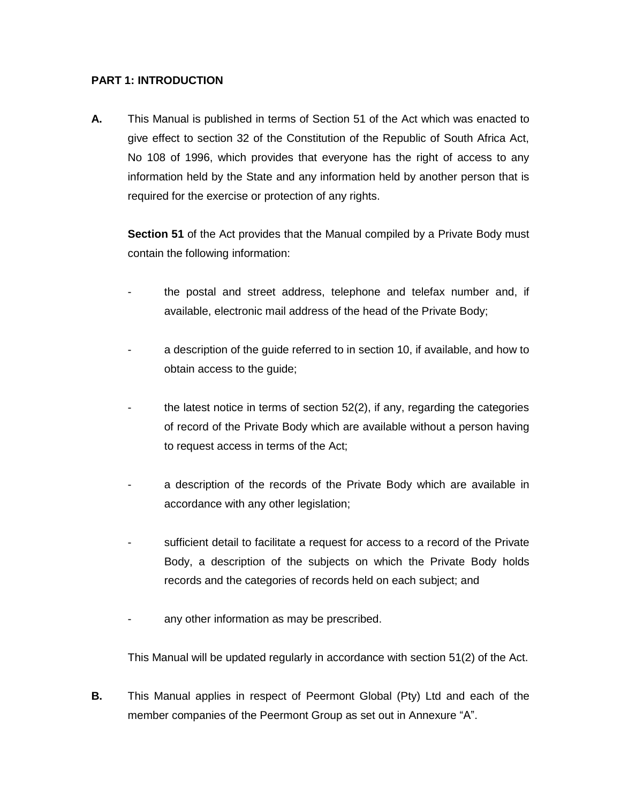#### **PART 1: INTRODUCTION**

**A.** This Manual is published in terms of Section 51 of the Act which was enacted to give effect to section 32 of the Constitution of the Republic of South Africa Act, No 108 of 1996, which provides that everyone has the right of access to any information held by the State and any information held by another person that is required for the exercise or protection of any rights.

**Section 51** of the Act provides that the Manual compiled by a Private Body must contain the following information:

- the postal and street address, telephone and telefax number and, if available, electronic mail address of the head of the Private Body;
- a description of the guide referred to in section 10, if available, and how to obtain access to the guide;
- the latest notice in terms of section  $52(2)$ , if any, regarding the categories of record of the Private Body which are available without a person having to request access in terms of the Act;
- a description of the records of the Private Body which are available in accordance with any other legislation;
- sufficient detail to facilitate a request for access to a record of the Private Body, a description of the subjects on which the Private Body holds records and the categories of records held on each subject; and
- any other information as may be prescribed.

This Manual will be updated regularly in accordance with section 51(2) of the Act.

**B.** This Manual applies in respect of Peermont Global (Pty) Ltd and each of the member companies of the Peermont Group as set out in Annexure "A".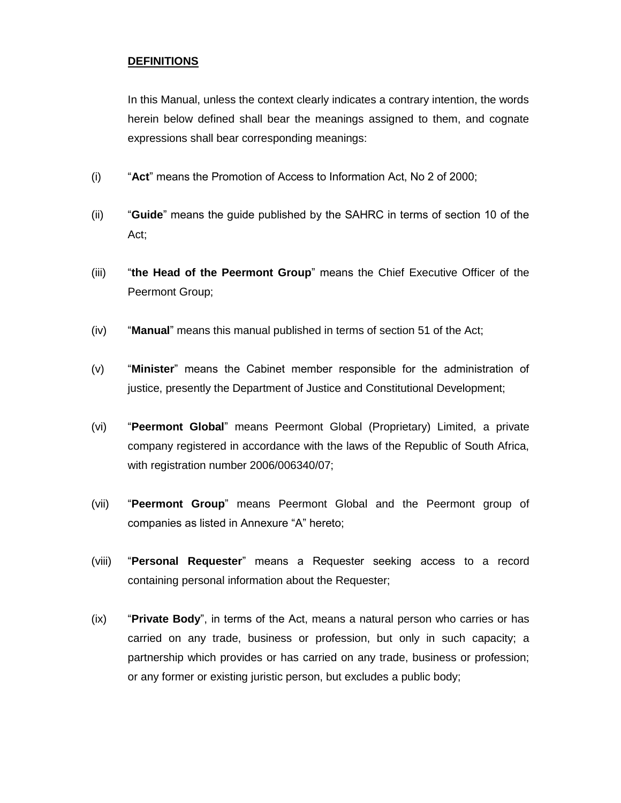#### **DEFINITIONS**

In this Manual, unless the context clearly indicates a contrary intention, the words herein below defined shall bear the meanings assigned to them, and cognate expressions shall bear corresponding meanings:

- (i) "**Act**" means the Promotion of Access to Information Act, No 2 of 2000;
- (ii) "**Guide**" means the guide published by the SAHRC in terms of section 10 of the Act;
- (iii) "**the Head of the Peermont Group**" means the Chief Executive Officer of the Peermont Group;
- (iv) "**Manual**" means this manual published in terms of section 51 of the Act;
- (v) "**Minister**" means the Cabinet member responsible for the administration of justice, presently the Department of Justice and Constitutional Development;
- (vi) "**Peermont Global**" means Peermont Global (Proprietary) Limited, a private company registered in accordance with the laws of the Republic of South Africa, with registration number 2006/006340/07;
- (vii) "**Peermont Group**" means Peermont Global and the Peermont group of companies as listed in Annexure "A" hereto;
- (viii) "**Personal Requester**" means a Requester seeking access to a record containing personal information about the Requester;
- (ix) "**Private Body**", in terms of the Act, means a natural person who carries or has carried on any trade, business or profession, but only in such capacity; a partnership which provides or has carried on any trade, business or profession; or any former or existing juristic person, but excludes a public body;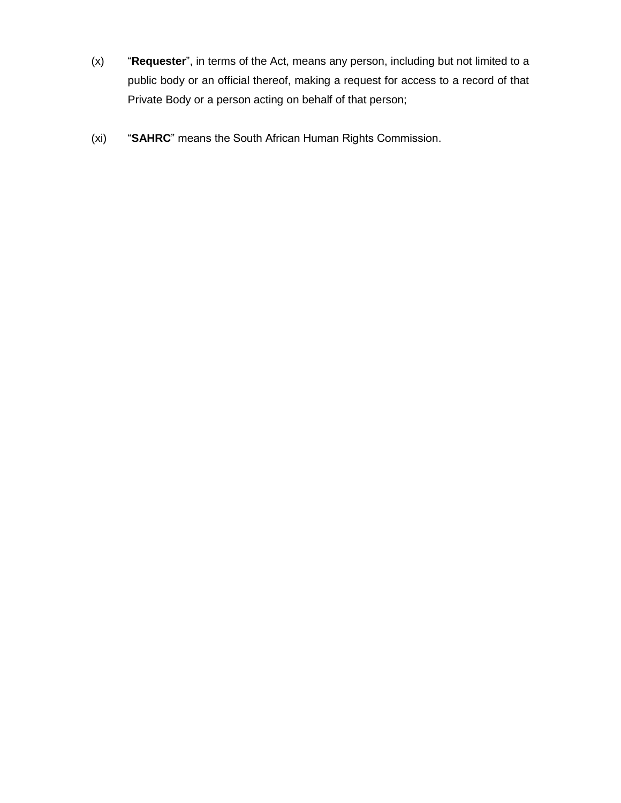- (x) "**Requester**", in terms of the Act, means any person, including but not limited to a public body or an official thereof, making a request for access to a record of that Private Body or a person acting on behalf of that person;
- (xi) "**SAHRC**" means the South African Human Rights Commission.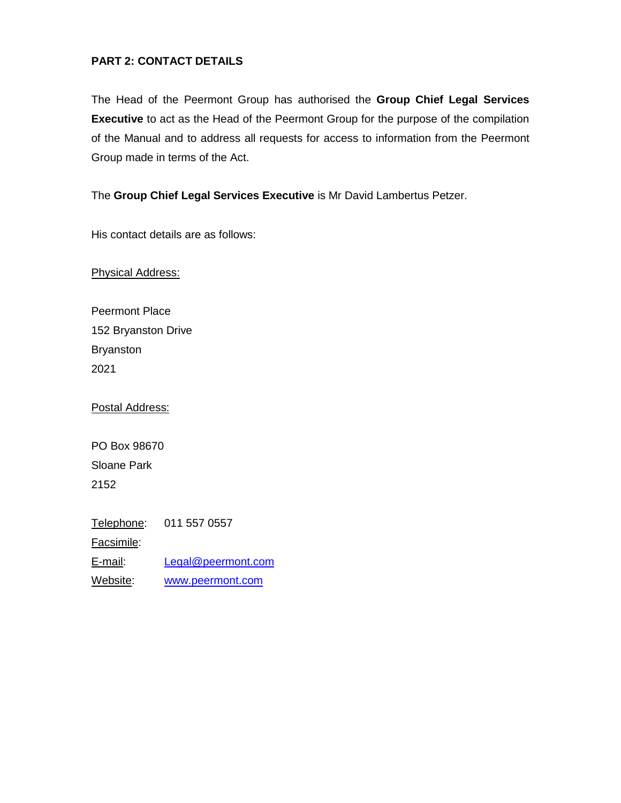### **PART 2: CONTACT DETAILS**

The Head of the Peermont Group has authorised the **Group Chief Legal Services Executive** to act as the Head of the Peermont Group for the purpose of the compilation of the Manual and to address all requests for access to information from the Peermont Group made in terms of the Act.

The **Group Chief Legal Services Executive** is Mr David Lambertus Petzer.

His contact details are as follows:

Physical Address:

Peermont Place 152 Bryanston Drive Bryanston 2021

Postal Address:

PO Box 98670 Sloane Park 2152

Telephone: 011 557 0557 Facsimile: E-mail: [Legal@peermont.com](mailto:Legal@peermont.com) Website: [www.peermont.com](http://www.peermont.com/)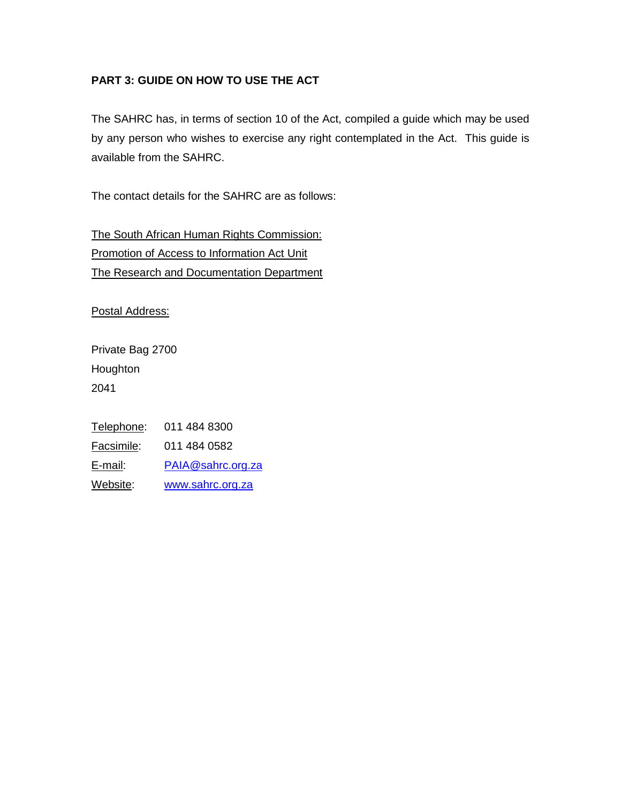## **PART 3: GUIDE ON HOW TO USE THE ACT**

The SAHRC has, in terms of section 10 of the Act, compiled a guide which may be used by any person who wishes to exercise any right contemplated in the Act. This guide is available from the SAHRC.

The contact details for the SAHRC are as follows:

The South African Human Rights Commission: Promotion of Access to Information Act Unit The Research and Documentation Department

Postal Address:

Private Bag 2700 **Houghton** 2041

Telephone: 011 484 8300 Facsimile: 011 484 0582 E-mail: [PAIA@sahrc.org.za](mailto:PAIA@sahrc.org.za) Website: [www.sahrc.org.za](http://www.sahrc.org.za/)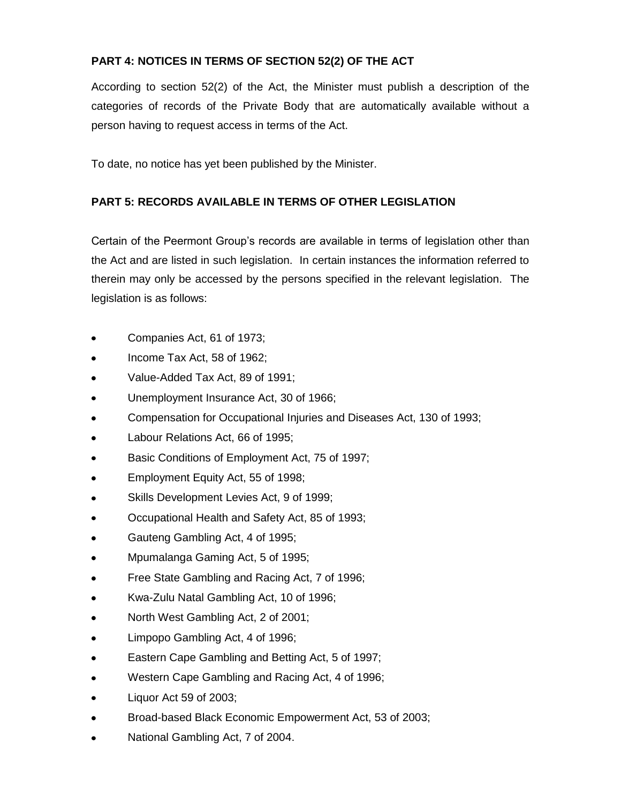## **PART 4: NOTICES IN TERMS OF SECTION 52(2) OF THE ACT**

According to section 52(2) of the Act, the Minister must publish a description of the categories of records of the Private Body that are automatically available without a person having to request access in terms of the Act.

To date, no notice has yet been published by the Minister.

## **PART 5: RECORDS AVAILABLE IN TERMS OF OTHER LEGISLATION**

Certain of the Peermont Group's records are available in terms of legislation other than the Act and are listed in such legislation. In certain instances the information referred to therein may only be accessed by the persons specified in the relevant legislation. The legislation is as follows:

- Companies Act, 61 of 1973;
- Income Tax Act, 58 of 1962;
- Value-Added Tax Act, 89 of 1991;
- Unemployment Insurance Act, 30 of 1966;
- Compensation for Occupational Injuries and Diseases Act, 130 of 1993;
- Labour Relations Act, 66 of 1995;
- Basic Conditions of Employment Act, 75 of 1997;
- Employment Equity Act, 55 of 1998;  $\bullet$
- Skills Development Levies Act, 9 of 1999;
- Occupational Health and Safety Act, 85 of 1993;
- Gauteng Gambling Act, 4 of 1995;
- Mpumalanga Gaming Act, 5 of 1995;
- Free State Gambling and Racing Act, 7 of 1996;
- Kwa-Zulu Natal Gambling Act, 10 of 1996;
- North West Gambling Act, 2 of 2001;
- Limpopo Gambling Act, 4 of 1996;  $\bullet$
- Eastern Cape Gambling and Betting Act, 5 of 1997;
- Western Cape Gambling and Racing Act, 4 of 1996;
- Liquor Act 59 of 2003;
- Broad-based Black Economic Empowerment Act, 53 of 2003;
- National Gambling Act, 7 of 2004. $\bullet$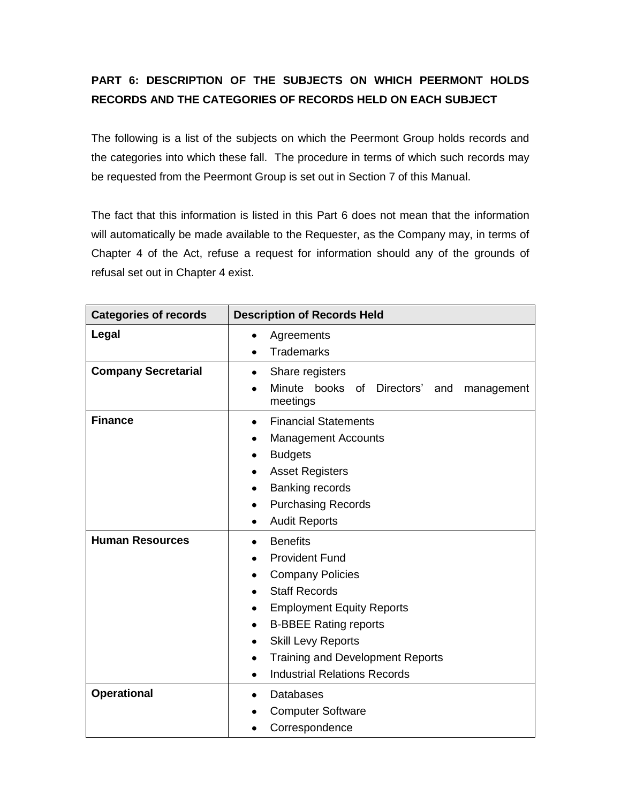# **PART 6: DESCRIPTION OF THE SUBJECTS ON WHICH PEERMONT HOLDS RECORDS AND THE CATEGORIES OF RECORDS HELD ON EACH SUBJECT**

The following is a list of the subjects on which the Peermont Group holds records and the categories into which these fall. The procedure in terms of which such records may be requested from the Peermont Group is set out in Section 7 of this Manual.

The fact that this information is listed in this Part 6 does not mean that the information will automatically be made available to the Requester, as the Company may, in terms of Chapter 4 of the Act, refuse a request for information should any of the grounds of refusal set out in Chapter 4 exist.

| <b>Categories of records</b> | <b>Description of Records Held</b>                                                                                                                                                                                                                                                                                                                  |  |  |
|------------------------------|-----------------------------------------------------------------------------------------------------------------------------------------------------------------------------------------------------------------------------------------------------------------------------------------------------------------------------------------------------|--|--|
| Legal                        | Agreements<br>$\bullet$<br><b>Trademarks</b><br>$\bullet$                                                                                                                                                                                                                                                                                           |  |  |
| <b>Company Secretarial</b>   | Share registers<br>$\bullet$<br>Minute<br>books of Directors'<br>and<br>management<br>meetings                                                                                                                                                                                                                                                      |  |  |
| <b>Finance</b>               | <b>Financial Statements</b><br>$\bullet$<br><b>Management Accounts</b><br>٠<br><b>Budgets</b><br>٠<br><b>Asset Registers</b><br><b>Banking records</b><br>$\bullet$<br><b>Purchasing Records</b><br>٠<br><b>Audit Reports</b><br>٠                                                                                                                  |  |  |
| <b>Human Resources</b>       | <b>Benefits</b><br>$\bullet$<br><b>Provident Fund</b><br>۰<br><b>Company Policies</b><br>٠<br><b>Staff Records</b><br>$\bullet$<br><b>Employment Equity Reports</b><br>٠<br><b>B-BBEE Rating reports</b><br>$\bullet$<br><b>Skill Levy Reports</b><br>٠<br><b>Training and Development Reports</b><br>٠<br><b>Industrial Relations Records</b><br>٠ |  |  |
| <b>Operational</b>           | <b>Databases</b><br>٠<br><b>Computer Software</b><br>٠<br>Correspondence                                                                                                                                                                                                                                                                            |  |  |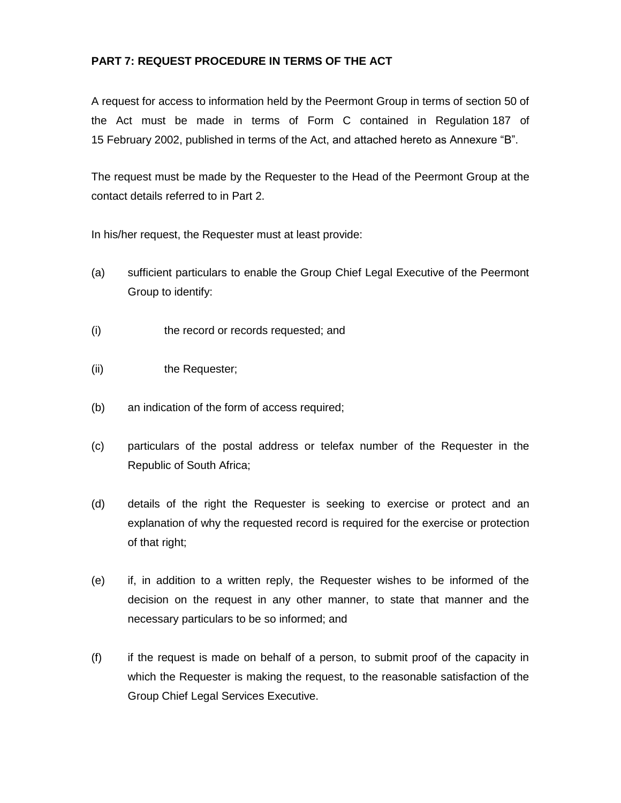## **PART 7: REQUEST PROCEDURE IN TERMS OF THE ACT**

A request for access to information held by the Peermont Group in terms of section 50 of the Act must be made in terms of Form C contained in Regulation 187 of 15 February 2002, published in terms of the Act, and attached hereto as Annexure "B".

The request must be made by the Requester to the Head of the Peermont Group at the contact details referred to in Part 2.

In his/her request, the Requester must at least provide:

- (a) sufficient particulars to enable the Group Chief Legal Executive of the Peermont Group to identify:
- (i) the record or records requested; and
- (ii) the Requester;
- (b) an indication of the form of access required;
- (c) particulars of the postal address or telefax number of the Requester in the Republic of South Africa;
- (d) details of the right the Requester is seeking to exercise or protect and an explanation of why the requested record is required for the exercise or protection of that right;
- (e) if, in addition to a written reply, the Requester wishes to be informed of the decision on the request in any other manner, to state that manner and the necessary particulars to be so informed; and
- (f) if the request is made on behalf of a person, to submit proof of the capacity in which the Requester is making the request, to the reasonable satisfaction of the Group Chief Legal Services Executive.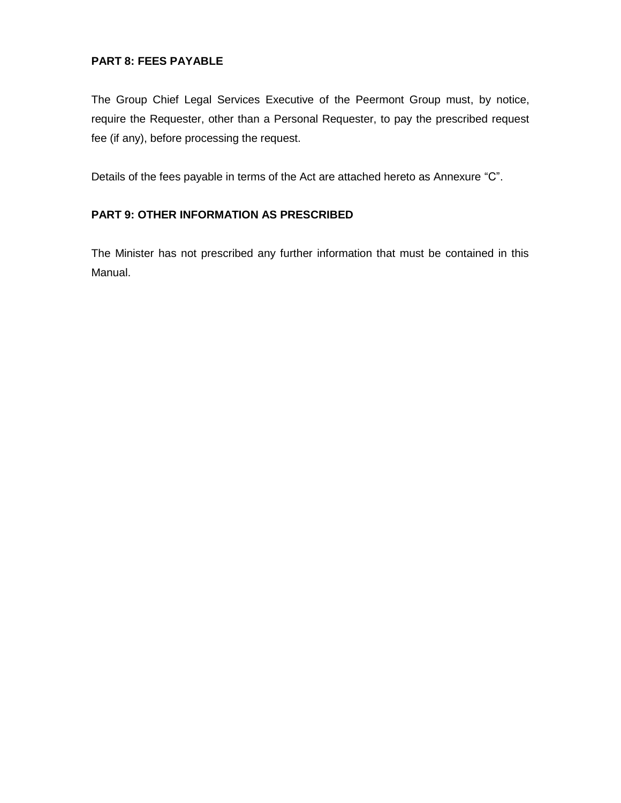### **PART 8: FEES PAYABLE**

The Group Chief Legal Services Executive of the Peermont Group must, by notice, require the Requester, other than a Personal Requester, to pay the prescribed request fee (if any), before processing the request.

Details of the fees payable in terms of the Act are attached hereto as Annexure "C".

### **PART 9: OTHER INFORMATION AS PRESCRIBED**

The Minister has not prescribed any further information that must be contained in this Manual.